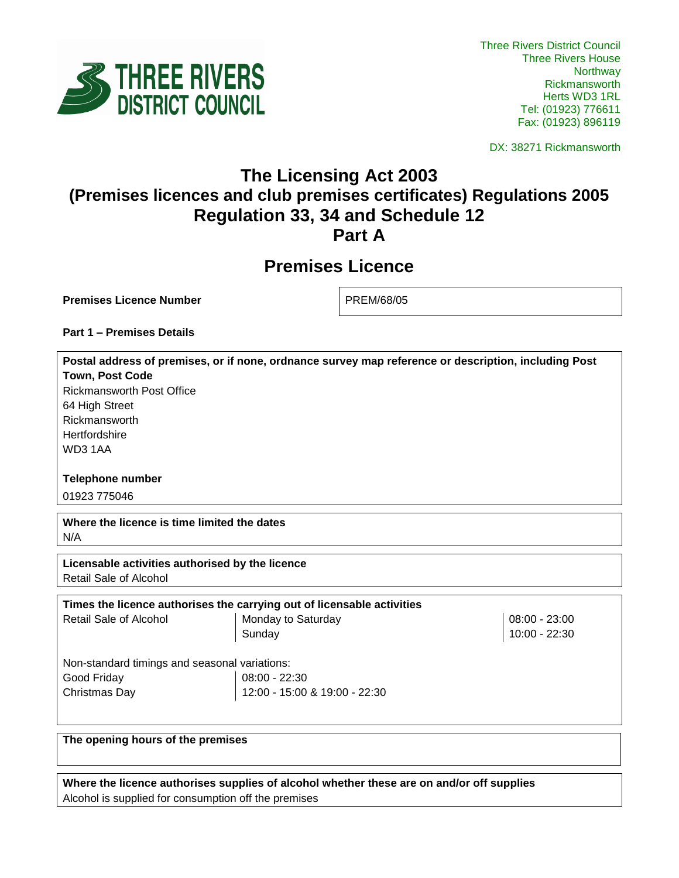

DX: 38271 Rickmansworth

## **The Licensing Act 2003 (Premises licences and club premises certificates) Regulations 2005 Regulation 33, 34 and Schedule 12 Part A**

# **Premises Licence**

**Premises Licence Number** PREM/68/05

**Part 1 – Premises Details**

**Postal address of premises, or if none, ordnance survey map reference or description, including Post Town, Post Code** Rickmansworth Post Office 64 High Street Rickmansworth

**Hertfordshire** WD3 1AA

**Telephone number**

01923 775046

**Where the licence is time limited the dates** N/A

**Licensable activities authorised by the licence**  Retail Sale of Alcohol

| Times the licence authorises the carrying out of licensable activities |                               |                 |  |  |
|------------------------------------------------------------------------|-------------------------------|-----------------|--|--|
| Retail Sale of Alcohol                                                 | Monday to Saturday            | $08:00 - 23:00$ |  |  |
|                                                                        | Sunday                        | 10:00 - 22:30   |  |  |
|                                                                        |                               |                 |  |  |
| Non-standard timings and seasonal variations:                          |                               |                 |  |  |
| Good Friday                                                            | $08:00 - 22:30$               |                 |  |  |
| Christmas Day                                                          | 12:00 - 15:00 & 19:00 - 22:30 |                 |  |  |

**The opening hours of the premises**

**Where the licence authorises supplies of alcohol whether these are on and/or off supplies** Alcohol is supplied for consumption off the premises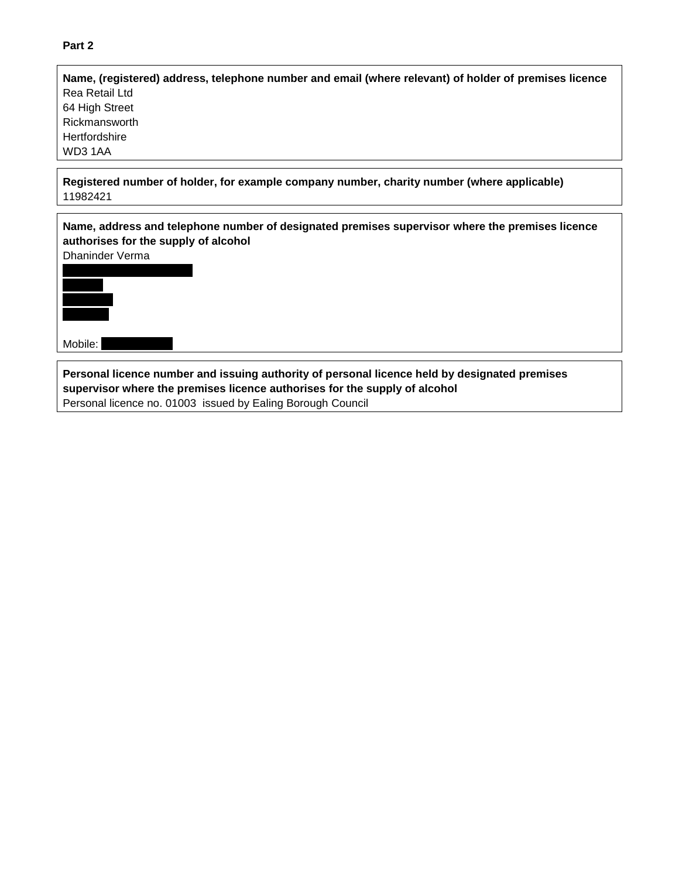### **Part 2**

| Name, (registered) address, telephone number and email (where relevant) of holder of premises licence |  |  |
|-------------------------------------------------------------------------------------------------------|--|--|
| Rea Retail Ltd                                                                                        |  |  |
| 64 High Street                                                                                        |  |  |
| Rickmansworth                                                                                         |  |  |
| Hertfordshire                                                                                         |  |  |
| WD3 1AA                                                                                               |  |  |
|                                                                                                       |  |  |

**Registered number of holder, for example company number, charity number (where applicable)** 11982421



Personal licence no. 01003 issued by Ealing Borough Council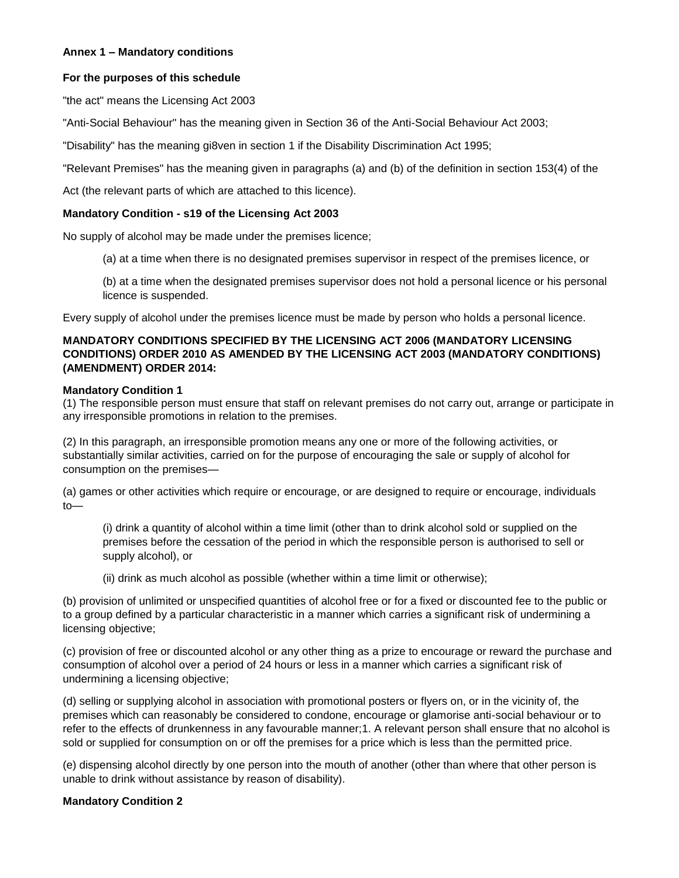#### **Annex 1 – Mandatory conditions**

#### **For the purposes of this schedule**

"the act" means the Licensing Act 2003

"Anti-Social Behaviour" has the meaning given in Section 36 of the Anti-Social Behaviour Act 2003;

"Disability" has the meaning gi8ven in section 1 if the Disability Discrimination Act 1995;

"Relevant Premises" has the meaning given in paragraphs (a) and (b) of the definition in section 153(4) of the

Act (the relevant parts of which are attached to this licence).

#### **Mandatory Condition - s19 of the Licensing Act 2003**

No supply of alcohol may be made under the premises licence;

(a) at a time when there is no designated premises supervisor in respect of the premises licence, or

(b) at a time when the designated premises supervisor does not hold a personal licence or his personal licence is suspended.

Every supply of alcohol under the premises licence must be made by person who holds a personal licence.

#### **MANDATORY CONDITIONS SPECIFIED BY THE LICENSING ACT 2006 (MANDATORY LICENSING CONDITIONS) ORDER 2010 AS AMENDED BY THE LICENSING ACT 2003 (MANDATORY CONDITIONS) (AMENDMENT) ORDER 2014:**

#### **Mandatory Condition 1**

(1) The responsible person must ensure that staff on relevant premises do not carry out, arrange or participate in any irresponsible promotions in relation to the premises.

(2) In this paragraph, an irresponsible promotion means any one or more of the following activities, or substantially similar activities, carried on for the purpose of encouraging the sale or supply of alcohol for consumption on the premises—

(a) games or other activities which require or encourage, or are designed to require or encourage, individuals to—

(i) drink a quantity of alcohol within a time limit (other than to drink alcohol sold or supplied on the premises before the cessation of the period in which the responsible person is authorised to sell or supply alcohol), or

(ii) drink as much alcohol as possible (whether within a time limit or otherwise);

(b) provision of unlimited or unspecified quantities of alcohol free or for a fixed or discounted fee to the public or to a group defined by a particular characteristic in a manner which carries a significant risk of undermining a licensing objective;

(c) provision of free or discounted alcohol or any other thing as a prize to encourage or reward the purchase and consumption of alcohol over a period of 24 hours or less in a manner which carries a significant risk of undermining a licensing objective;

(d) selling or supplying alcohol in association with promotional posters or flyers on, or in the vicinity of, the premises which can reasonably be considered to condone, encourage or glamorise anti-social behaviour or to refer to the effects of drunkenness in any favourable manner;1. A relevant person shall ensure that no alcohol is sold or supplied for consumption on or off the premises for a price which is less than the permitted price.

(e) dispensing alcohol directly by one person into the mouth of another (other than where that other person is unable to drink without assistance by reason of disability).

#### **Mandatory Condition 2**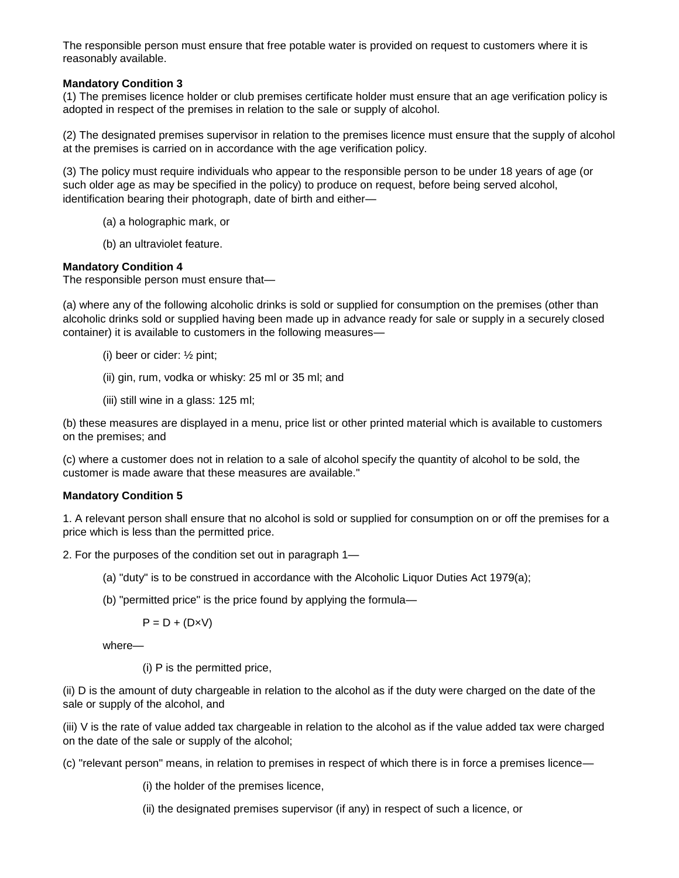The responsible person must ensure that free potable water is provided on request to customers where it is reasonably available.

#### **Mandatory Condition 3**

(1) The premises licence holder or club premises certificate holder must ensure that an age verification policy is adopted in respect of the premises in relation to the sale or supply of alcohol.

(2) The designated premises supervisor in relation to the premises licence must ensure that the supply of alcohol at the premises is carried on in accordance with the age verification policy.

(3) The policy must require individuals who appear to the responsible person to be under 18 years of age (or such older age as may be specified in the policy) to produce on request, before being served alcohol, identification bearing their photograph, date of birth and either—

- (a) a holographic mark, or
- (b) an ultraviolet feature.

#### **Mandatory Condition 4**

The responsible person must ensure that—

(a) where any of the following alcoholic drinks is sold or supplied for consumption on the premises (other than alcoholic drinks sold or supplied having been made up in advance ready for sale or supply in a securely closed container) it is available to customers in the following measures—

- (i) beer or cider: ½ pint;
- (ii) gin, rum, vodka or whisky: 25 ml or 35 ml; and
- (iii) still wine in a glass: 125 ml;

(b) these measures are displayed in a menu, price list or other printed material which is available to customers on the premises; and

(c) where a customer does not in relation to a sale of alcohol specify the quantity of alcohol to be sold, the customer is made aware that these measures are available."

#### **Mandatory Condition 5**

1. A relevant person shall ensure that no alcohol is sold or supplied for consumption on or off the premises for a price which is less than the permitted price.

2. For the purposes of the condition set out in paragraph 1—

- (a) "duty" is to be construed in accordance with the Alcoholic Liquor Duties Act 1979(a);
- (b) "permitted price" is the price found by applying the formula—

 $P = D + (D \times V)$ 

where—

(i) P is the permitted price,

(ii) D is the amount of duty chargeable in relation to the alcohol as if the duty were charged on the date of the sale or supply of the alcohol, and

(iii) V is the rate of value added tax chargeable in relation to the alcohol as if the value added tax were charged on the date of the sale or supply of the alcohol;

(c) "relevant person" means, in relation to premises in respect of which there is in force a premises licence—

(i) the holder of the premises licence,

(ii) the designated premises supervisor (if any) in respect of such a licence, or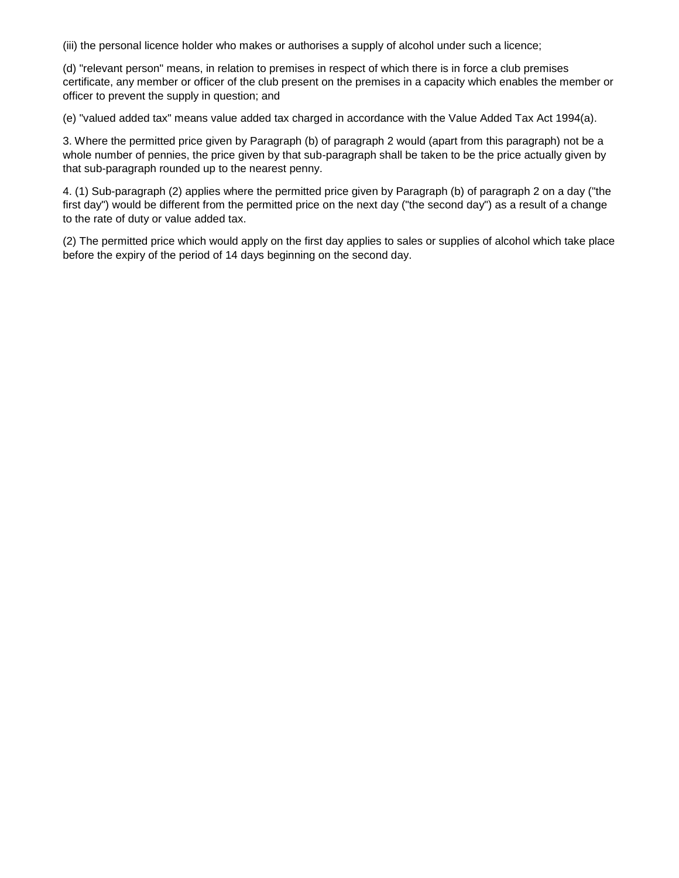(iii) the personal licence holder who makes or authorises a supply of alcohol under such a licence;

(d) "relevant person" means, in relation to premises in respect of which there is in force a club premises certificate, any member or officer of the club present on the premises in a capacity which enables the member or officer to prevent the supply in question; and

(e) "valued added tax" means value added tax charged in accordance with the Value Added Tax Act 1994(a).

3. Where the permitted price given by Paragraph (b) of paragraph 2 would (apart from this paragraph) not be a whole number of pennies, the price given by that sub-paragraph shall be taken to be the price actually given by that sub-paragraph rounded up to the nearest penny.

4. (1) Sub-paragraph (2) applies where the permitted price given by Paragraph (b) of paragraph 2 on a day ("the first day") would be different from the permitted price on the next day ("the second day") as a result of a change to the rate of duty or value added tax.

(2) The permitted price which would apply on the first day applies to sales or supplies of alcohol which take place before the expiry of the period of 14 days beginning on the second day.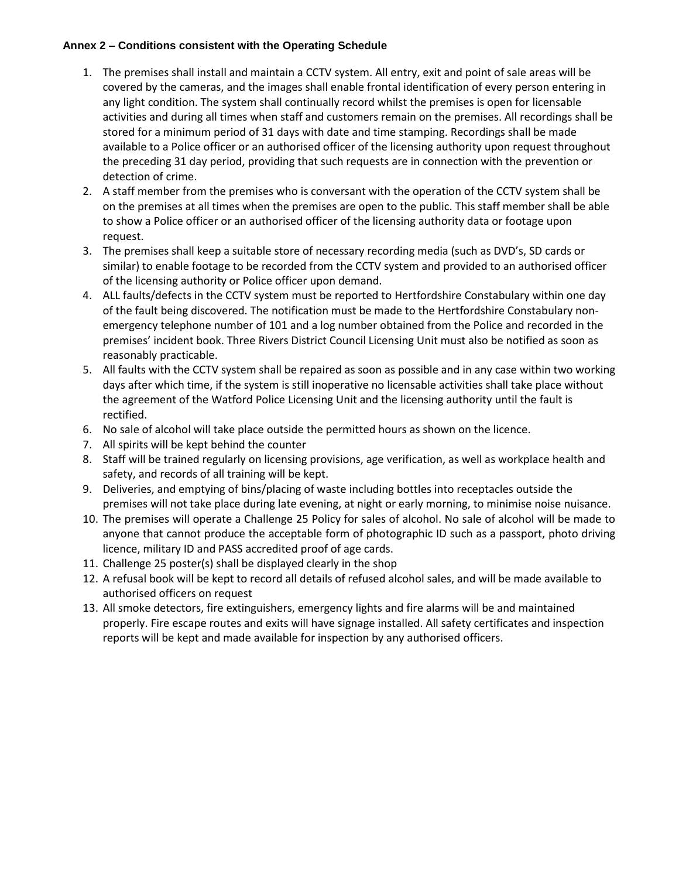#### **Annex 2 – Conditions consistent with the Operating Schedule**

- 1. The premises shall install and maintain a CCTV system. All entry, exit and point of sale areas will be covered by the cameras, and the images shall enable frontal identification of every person entering in any light condition. The system shall continually record whilst the premises is open for licensable activities and during all times when staff and customers remain on the premises. All recordings shall be stored for a minimum period of 31 days with date and time stamping. Recordings shall be made available to a Police officer or an authorised officer of the licensing authority upon request throughout the preceding 31 day period, providing that such requests are in connection with the prevention or detection of crime.
- 2. A staff member from the premises who is conversant with the operation of the CCTV system shall be on the premises at all times when the premises are open to the public. This staff member shall be able to show a Police officer or an authorised officer of the licensing authority data or footage upon request.
- 3. The premises shall keep a suitable store of necessary recording media (such as DVD's, SD cards or similar) to enable footage to be recorded from the CCTV system and provided to an authorised officer of the licensing authority or Police officer upon demand.
- 4. ALL faults/defects in the CCTV system must be reported to Hertfordshire Constabulary within one day of the fault being discovered. The notification must be made to the Hertfordshire Constabulary nonemergency telephone number of 101 and a log number obtained from the Police and recorded in the premises' incident book. Three Rivers District Council Licensing Unit must also be notified as soon as reasonably practicable.
- 5. All faults with the CCTV system shall be repaired as soon as possible and in any case within two working days after which time, if the system is still inoperative no licensable activities shall take place without the agreement of the Watford Police Licensing Unit and the licensing authority until the fault is rectified.
- 6. No sale of alcohol will take place outside the permitted hours as shown on the licence.
- 7. All spirits will be kept behind the counter
- 8. Staff will be trained regularly on licensing provisions, age verification, as well as workplace health and safety, and records of all training will be kept.
- 9. Deliveries, and emptying of bins/placing of waste including bottles into receptacles outside the premises will not take place during late evening, at night or early morning, to minimise noise nuisance.
- 10. The premises will operate a Challenge 25 Policy for sales of alcohol. No sale of alcohol will be made to anyone that cannot produce the acceptable form of photographic ID such as a passport, photo driving licence, military ID and PASS accredited proof of age cards.
- 11. Challenge 25 poster(s) shall be displayed clearly in the shop
- 12. A refusal book will be kept to record all details of refused alcohol sales, and will be made available to authorised officers on request
- 13. All smoke detectors, fire extinguishers, emergency lights and fire alarms will be and maintained properly. Fire escape routes and exits will have signage installed. All safety certificates and inspection reports will be kept and made available for inspection by any authorised officers.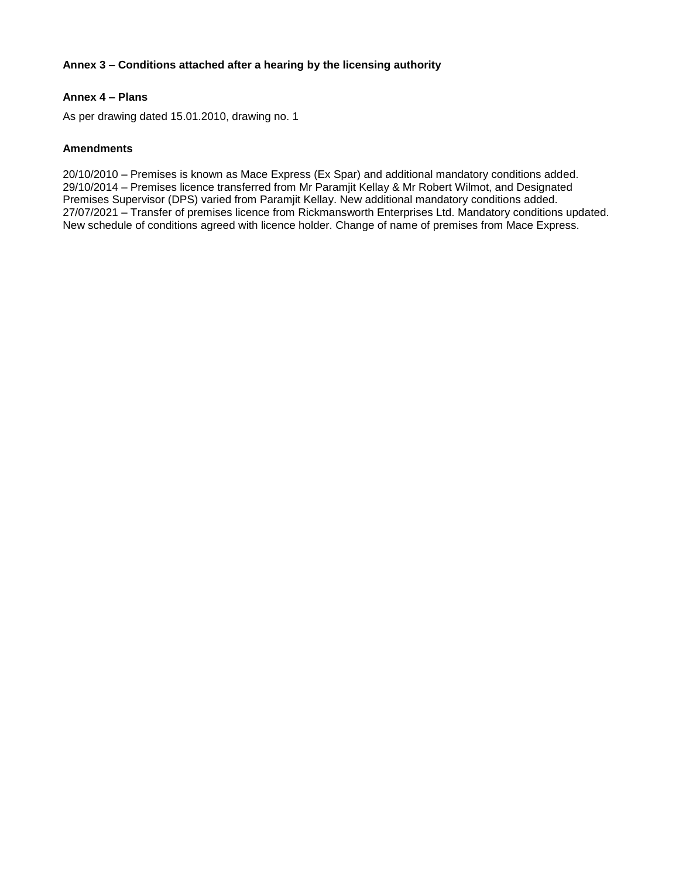#### **Annex 3 – Conditions attached after a hearing by the licensing authority**

#### **Annex 4 – Plans**

As per drawing dated 15.01.2010, drawing no. 1

#### **Amendments**

20/10/2010 – Premises is known as Mace Express (Ex Spar) and additional mandatory conditions added. 29/10/2014 – Premises licence transferred from Mr Paramjit Kellay & Mr Robert Wilmot, and Designated Premises Supervisor (DPS) varied from Paramjit Kellay. New additional mandatory conditions added. 27/07/2021 – Transfer of premises licence from Rickmansworth Enterprises Ltd. Mandatory conditions updated. New schedule of conditions agreed with licence holder. Change of name of premises from Mace Express.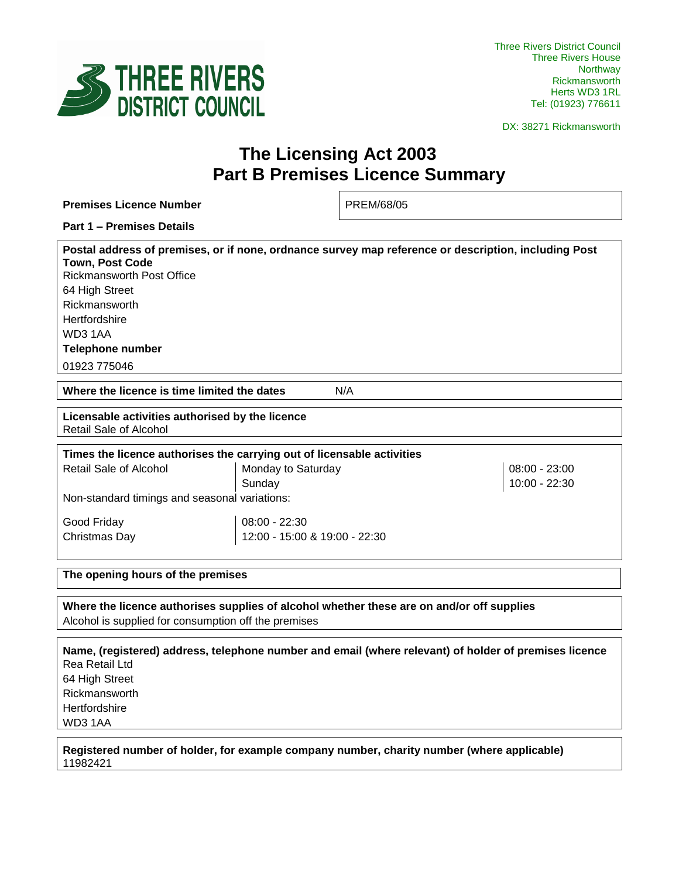

Three Rivers District Council Three Rivers House Northway Rickmansworth Herts WD3 1RL Tel: (01923) 776611

DX: 38271 Rickmansworth

# **The Licensing Act 2003 Part B Premises Licence Summary**

| <b>Premises Licence Number</b>                                                                                                                                                                                                                                                      | PREM/68/05                     |  |  |  |
|-------------------------------------------------------------------------------------------------------------------------------------------------------------------------------------------------------------------------------------------------------------------------------------|--------------------------------|--|--|--|
| <b>Part 1 - Premises Details</b>                                                                                                                                                                                                                                                    |                                |  |  |  |
| Postal address of premises, or if none, ordnance survey map reference or description, including Post<br><b>Town, Post Code</b><br><b>Rickmansworth Post Office</b><br>64 High Street<br>Rickmansworth<br>Hertfordshire<br>WD31AA<br><b>Telephone number</b><br>01923 775046         |                                |  |  |  |
| Where the licence is time limited the dates<br>N/A                                                                                                                                                                                                                                  |                                |  |  |  |
| Licensable activities authorised by the licence<br>Retail Sale of Alcohol                                                                                                                                                                                                           |                                |  |  |  |
| Times the licence authorises the carrying out of licensable activities                                                                                                                                                                                                              |                                |  |  |  |
| Retail Sale of Alcohol<br>Monday to Saturday<br>Sunday<br>Non-standard timings and seasonal variations:                                                                                                                                                                             | 08:00 - 23:00<br>10:00 - 22:30 |  |  |  |
| Good Friday<br>08:00 - 22:30<br>Christmas Day<br>12:00 - 15:00 & 19:00 - 22:30                                                                                                                                                                                                      |                                |  |  |  |
| The opening hours of the premises                                                                                                                                                                                                                                                   |                                |  |  |  |
| Where the licence authorises supplies of alcohol whether these are on and/or off supplies<br>Alcohol is supplied for consumption off the premises                                                                                                                                   |                                |  |  |  |
| Name, (registered) address, telephone number and email (where relevant) of holder of premises licence<br>Rea Retail Ltd<br>64 High Street<br>Rickmansworth<br>Hertfordshire<br>WD31AA<br>Registered number of holder, for example company number, charity number (where applicable) |                                |  |  |  |

11982421